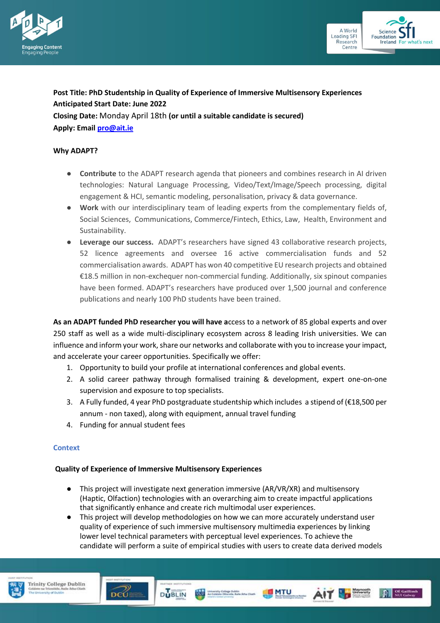



# **Post Title: PhD Studentship in Quality of Experience of Immersive Multisensory Experiences Anticipated Start Date: June 2022**

**Closing Date:** Monday April 18th **(or until a suitable candidate is secured) Apply: Emai[l pro@ait.ie](mailto:pro@ait.ie)**

## **Why ADAPT?**

- **Contribute** to the ADAPT research agenda that pioneers and combines research in AI driven technologies: Natural Language Processing, Video/Text/Image/Speech processing, digital engagement & HCI, semantic modeling, personalisation, privacy & data governance.
- Work with our interdisciplinary team of leading experts from the complementary fields of, Social Sciences, Communications, Commerce/Fintech, Ethics, Law, Health, Environment and Sustainability.
- **Leverage our success.** ADAPT's researchers have signed 43 collaborative research projects, 52 licence agreements and oversee 16 active commercialisation funds and 52 commercialisation awards. ADAPT has won 40 competitive EU research projects and obtained €18.5 million in non-exchequer non-commercial funding. Additionally, six spinout companies have been formed. ADAPT's researchers have produced over 1,500 journal and conference publications and nearly 100 PhD students have been trained.

**As an ADAPT funded PhD researcher you will have a**ccess to a network of 85 global experts and over 250 staff as well as a wide multi-disciplinary ecosystem across 8 leading Irish universities. We can influence and inform your work, share our networks and collaborate with you to increase your impact, and accelerate your career opportunities. Specifically we offer:

- 1. Opportunity to build your profile at international conferences and global events.
- 2. A solid career pathway through formalised training & development, expert one-on-one supervision and exposure to top specialists.
- 3. A Fully funded, 4 year PhD postgraduate studentship which includes a stipend of (€18,500 per annum - non taxed), along with equipment, annual travel funding
- 4. Funding for annual student fees

#### **Context**

#### **Quality of Experience of Immersive Multisensory Experiences**

**DUBLIN** 

- This project will investigate next generation immersive (AR/VR/XR) and multisensory (Haptic, Olfaction) technologies with an overarching aim to create impactful applications that significantly enhance and create rich multimodal user experiences.
- This project will develop methodologies on how we can more accurately understand user quality of experience of such immersive multisensory multimedia experiences by linking lower level technical parameters with perceptual level experiences. To achieve the candidate will perform a suite of empirical studies with users to create data derived models

Up to Coleanly College Dublin<br>Up to Coleans Othcode, Belle Artis Client





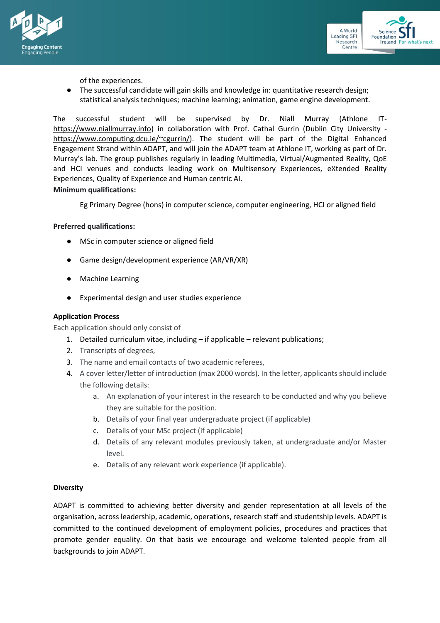



of the experiences.

● The successful candidate will gain skills and knowledge in: quantitative research design; statistical analysis techniques; machine learning; animation, game engine development.

The successful student will be supervised by Dr. Niall Murray (Athlone IT[https://www.niallmurray.info\)](https://www.niallmurray.info/) in collaboration with Prof. Cathal Gurrin (Dublin City University [https://www.computing.dcu.ie/~cgurrin/\)](https://www.computing.dcu.ie/~cgurrin/). The student will be part of the Digital Enhanced Engagement Strand within ADAPT, and will join the ADAPT team at Athlone IT, working as part of Dr. Murray's lab. The group publishes regularly in leading Multimedia, Virtual/Augmented Reality, QoE and HCI venues and conducts leading work on Multisensory Experiences, eXtended Reality Experiences, Quality of Experience and Human centric AI.

## **Minimum qualifications:**

Eg Primary Degree (hons) in computer science, computer engineering, HCI or aligned field

### **Preferred qualifications:**

- MSc in computer science or aligned field
- Game design/development experience (AR/VR/XR)
- **Machine Learning**
- Experimental design and user studies experience

## **Application Process**

Each application should only consist of

- 1. Detailed curriculum vitae, including if applicable relevant publications;
- 2. Transcripts of degrees,
- 3. The name and email contacts of two academic referees,
- 4. A cover letter/letter of introduction (max 2000 words). In the letter, applicants should include the following details:
	- a. An explanation of your interest in the research to be conducted and why you believe they are suitable for the position.
	- b. Details of your final year undergraduate project (if applicable)
	- c. Details of your MSc project (if applicable)
	- d. Details of any relevant modules previously taken, at undergraduate and/or Master level.
	- e. Details of any relevant work experience (if applicable).

#### **Diversity**

ADAPT is committed to achieving better diversity and gender representation at all levels of the organisation, across leadership, academic, operations, research staff and studentship levels. ADAPT is committed to the continued development of employment policies, procedures and practices that promote gender equality. On that basis we encourage and welcome talented people from all backgrounds to join ADAPT.